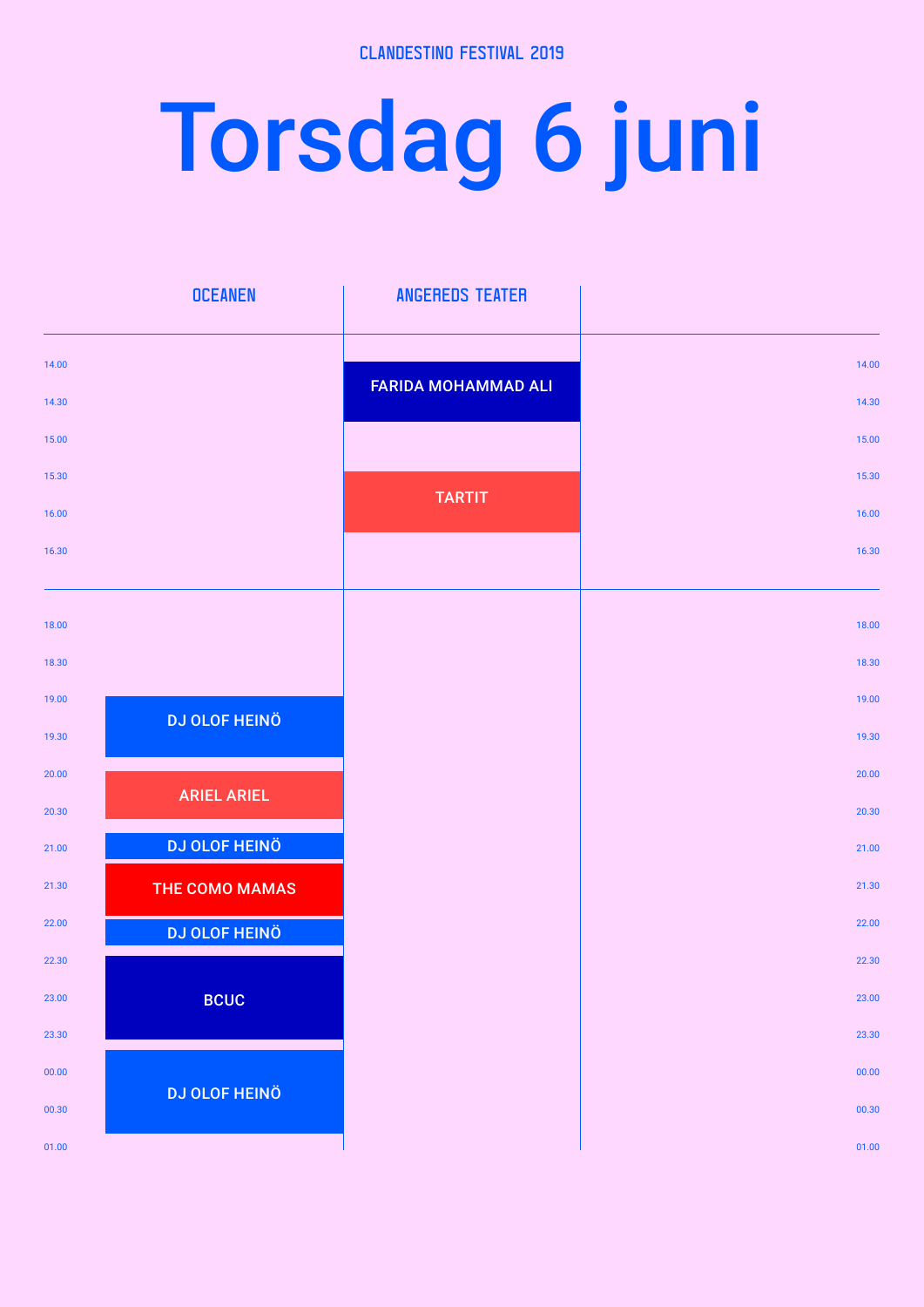## Torsdag 6 juni

|       | <b>OCEANEN</b>       | <b>ANGEREDS TEATER</b>     |       |
|-------|----------------------|----------------------------|-------|
| 14.00 |                      |                            | 14.00 |
| 14.30 |                      | <b>FARIDA MOHAMMAD ALI</b> | 14.30 |
| 15.00 |                      |                            | 15.00 |
| 15.30 |                      |                            | 15.30 |
| 16.00 |                      | <b>TARTIT</b>              | 16.00 |
| 16.30 |                      |                            | 16.30 |
|       |                      |                            |       |
| 18.00 |                      |                            | 18.00 |
| 18.30 |                      |                            | 18.30 |
| 19.00 | <b>DJ OLOF HEINÖ</b> |                            | 19.00 |
| 19.30 |                      |                            | 19.30 |
| 20.00 | <b>ARIEL ARIEL</b>   |                            | 20.00 |
| 20.30 |                      |                            | 20.30 |
| 21.00 | <b>DJ OLOF HEINÖ</b> |                            | 21.00 |
| 21.30 | THE COMO MAMAS       |                            | 21.30 |
| 22.00 | <b>DJ OLOF HEINÖ</b> |                            | 22.00 |
| 22.30 |                      |                            | 22.30 |
| 23.00 | <b>BCUC</b>          |                            | 23.00 |
| 23.30 |                      |                            | 23.30 |
| 00.00 | <b>DJ OLOF HEINÖ</b> |                            | 00.00 |
| 00.30 |                      |                            | 00.30 |
| 01.00 |                      |                            | 01.00 |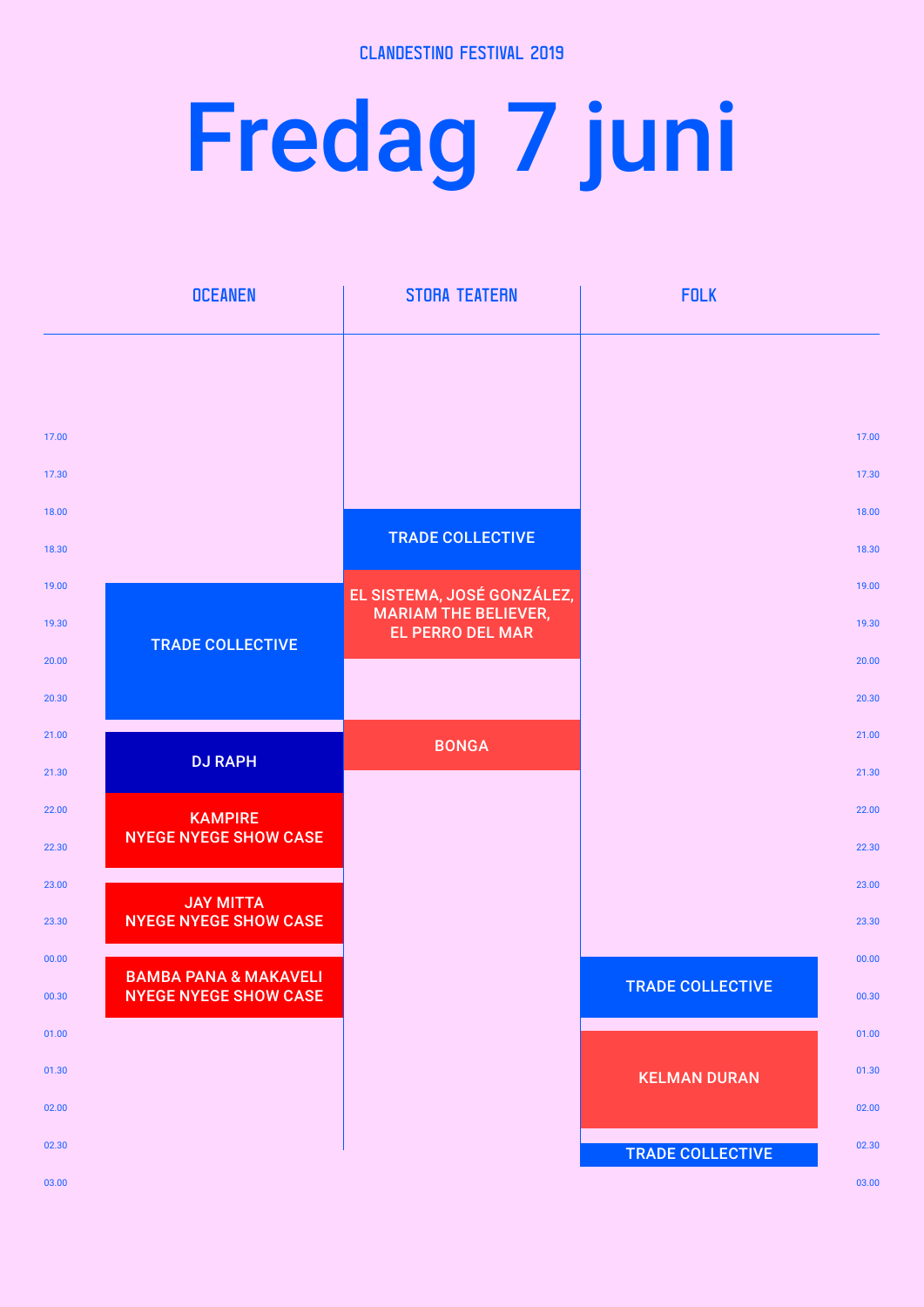## Fredag 7 juni

|                | <b>OCEANEN</b>                                                   | <b>STORA TEATERN</b>                                      | <b>FOLK</b>             |                |
|----------------|------------------------------------------------------------------|-----------------------------------------------------------|-------------------------|----------------|
|                |                                                                  |                                                           |                         |                |
|                |                                                                  |                                                           |                         |                |
| 17.00          |                                                                  |                                                           |                         | 17.00          |
| 17.30          |                                                                  |                                                           |                         | 17.30          |
| 18.00          |                                                                  | <b>TRADE COLLECTIVE</b>                                   |                         | 18.00          |
| 18.30          |                                                                  |                                                           |                         | 18.30          |
| 19.00          |                                                                  | EL SISTEMA, JOSÉ GONZÁLEZ,<br><b>MARIAM THE BELIEVER,</b> |                         | 19.00          |
| 19.30          | <b>TRADE COLLECTIVE</b>                                          | <b>EL PERRO DEL MAR</b>                                   |                         | 19.30          |
| 20.00          |                                                                  |                                                           |                         | 20.00          |
| 20.30          |                                                                  |                                                           |                         | 20.30          |
| 21.00          | <b>DJ RAPH</b>                                                   | <b>BONGA</b>                                              |                         | 21.00          |
| 21.30          |                                                                  |                                                           |                         | 21.30          |
| 22.00          | <b>KAMPIRE</b><br><b>NYEGE NYEGE SHOW CASE</b>                   |                                                           |                         | 22.00          |
| 22.30          |                                                                  |                                                           |                         | 22.30          |
| 23.00          | <b>JAY MITTA</b><br><b>NYEGE NYEGE SHOW CASE</b>                 |                                                           |                         | 23.00          |
| 23.30          |                                                                  |                                                           |                         | 23.30          |
| 00.00          | <b>BAMBA PANA &amp; MAKAVELI</b><br><b>NYEGE NYEGE SHOW CASE</b> |                                                           | <b>TRADE COLLECTIVE</b> | 00.00          |
| 00.30          |                                                                  |                                                           |                         | 00.30          |
| 01.00          |                                                                  |                                                           |                         | 01.00          |
| 01.30<br>02.00 |                                                                  |                                                           | <b>KELMAN DURAN</b>     | 01.30<br>02.00 |
| 02.30          |                                                                  |                                                           |                         | 02.30          |
| 03.00          |                                                                  |                                                           | <b>TRADE COLLECTIVE</b> | 03.00          |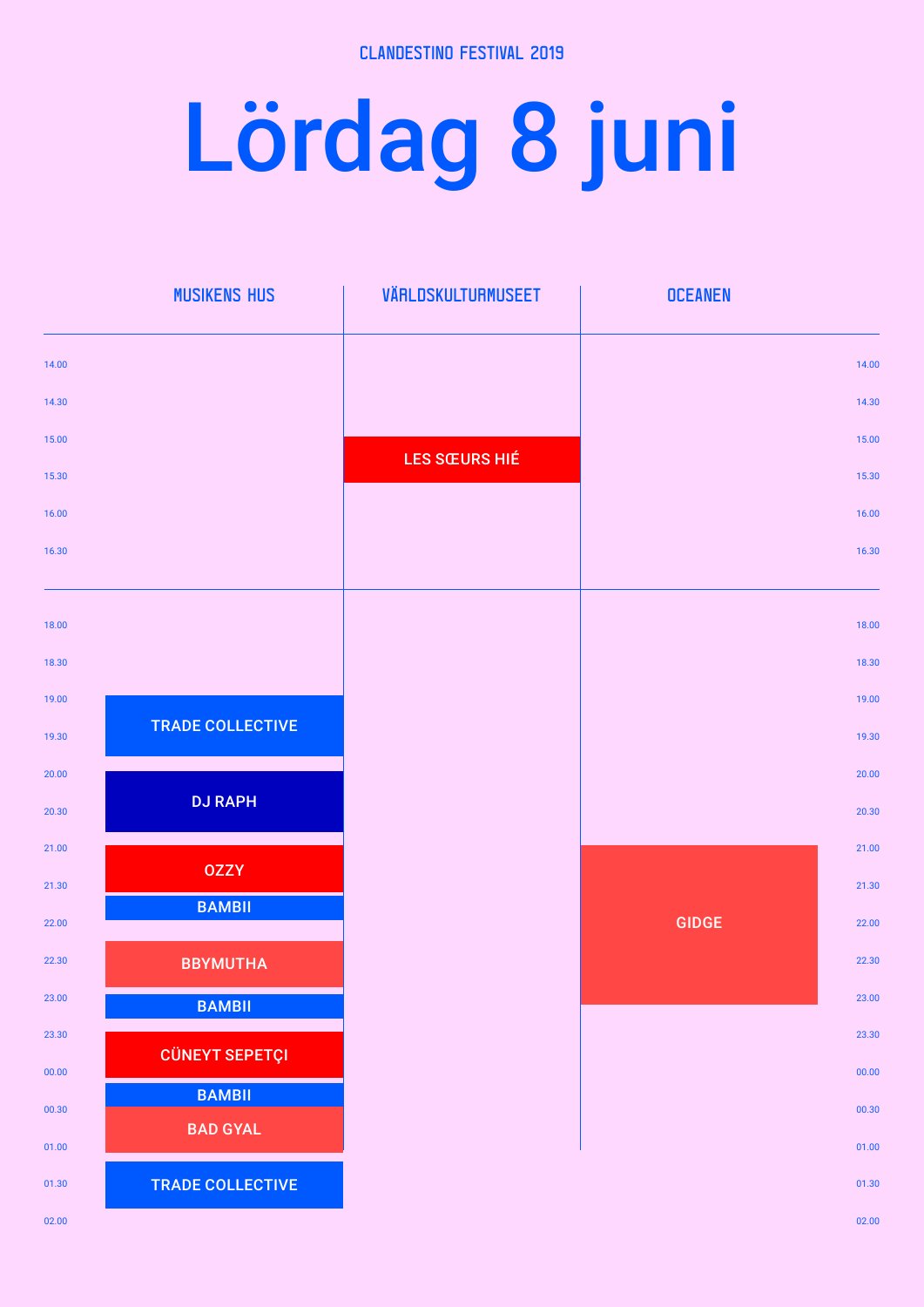## Lördag 8 juni

|       | <b>MUSIKENS HUS</b>     | VÄRLDSKULTURMUSEET   | <b>OCEANEN</b> |       |
|-------|-------------------------|----------------------|----------------|-------|
| 14.00 |                         |                      |                | 14.00 |
| 14.30 |                         |                      |                | 14.30 |
| 15.00 |                         |                      |                | 15.00 |
| 15.30 |                         | <b>LES SŒURS HIÉ</b> |                | 15.30 |
| 16.00 |                         |                      |                | 16.00 |
| 16.30 |                         |                      |                | 16.30 |
|       |                         |                      |                |       |
| 18.00 |                         |                      |                | 18.00 |
| 18.30 |                         |                      |                | 18.30 |
| 19.00 |                         |                      |                | 19.00 |
| 19.30 | <b>TRADE COLLECTIVE</b> |                      |                | 19.30 |
| 20.00 |                         |                      |                | 20.00 |
| 20.30 | <b>DJ RAPH</b>          |                      |                | 20.30 |
| 21.00 |                         |                      |                | 21.00 |
| 21.30 | <b>OZZY</b>             |                      |                | 21.30 |
| 22.00 | <b>BAMBII</b>           |                      | <b>GIDGE</b>   | 22.00 |
| 22.30 | <b>BBYMUTHA</b>         |                      |                | 22.30 |
| 23.00 | <b>BAMBII</b>           |                      |                | 23.00 |
| 23.30 |                         |                      |                | 23.30 |
| 00.00 | <b>CÜNEYT SEPETÇI</b>   |                      |                | 00.00 |
| 00.30 | <b>BAMBII</b>           |                      |                | 00.30 |
| 01.00 | <b>BAD GYAL</b>         |                      |                | 01.00 |
| 01.30 | <b>TRADE COLLECTIVE</b> |                      |                | 01.30 |
| 02.00 |                         |                      |                | 02.00 |